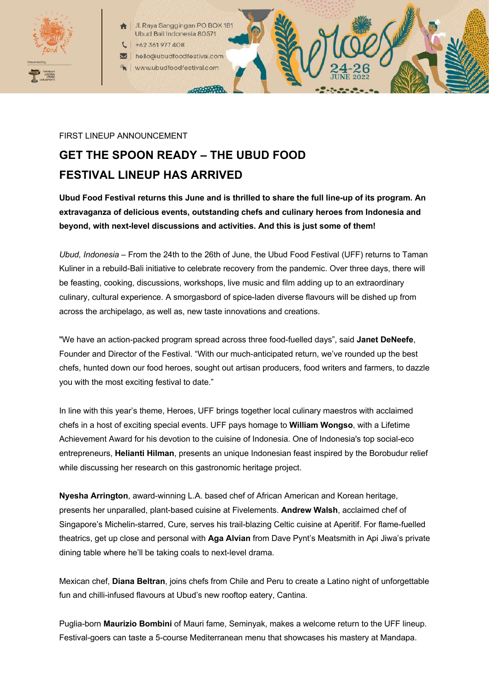

- Jl. Raya Sanggingan PO BOX 187 Ubud Bali Indonesia 80571
- +62 361 977 408
- hello@ubudfoodfestival.com www.ubudfoodfestival.com

### FIRST LINEUP ANNOUNCEMENT

# **GET THE SPOON READY – THE UBUD FOOD FESTIVAL LINEUP HAS ARRIVED**

-00999999

**Ubud Food Festival returns this June and is thrilled to share the full line-up of its program. An extravaganza of delicious events, outstanding chefs and culinary heroes from Indonesia and beyond, with next-level discussions and activities. And this is just some of them!**

*Ubud, Indonesia* – From the 24th to the 26th of June, the Ubud Food Festival (UFF) returns to Taman Kuliner in a rebuild-Bali initiative to celebrate recovery from the pandemic. Over three days, there will be feasting, cooking, discussions, workshops, live music and film adding up to an extraordinary culinary, cultural experience. A smorgasbord of spice-laden diverse flavours will be dished up from across the archipelago, as well as, new taste innovations and creations.

"We have an action-packed program spread across three food-fuelled days", said **Janet DeNeefe**, Founder and Director of the Festival. "With our much-anticipated return, we've rounded up the best chefs, hunted down our food heroes, sought out artisan producers, food writers and farmers, to dazzle you with the most exciting festival to date."

In line with this year's theme, Heroes, UFF brings together local culinary maestros with acclaimed chefs in a host of exciting special events. UFF pays homage to **William Wongso**, with a Lifetime Achievement Award for his devotion to the cuisine of Indonesia. One of Indonesia's top social-eco entrepreneurs, **Helianti Hilman**, presents an unique Indonesian feast inspired by the Borobudur relief while discussing her research on this gastronomic heritage project.

**Nyesha Arrington**, award-winning L.A. based chef of African American and Korean heritage, presents her unparalled, plant-based cuisine at Fivelements. **Andrew Walsh**, acclaimed chef of Singapore's Michelin-starred, Cure, serves his trail-blazing Celtic cuisine at Aperitif. For flame-fuelled theatrics, get up close and personal with **Aga Alvian** from Dave Pynt's Meatsmith in Api Jiwa's private dining table where he'll be taking coals to next-level drama.

Mexican chef, **Diana Beltran**, joins chefs from Chile and Peru to create a Latino night of unforgettable fun and chilli-infused flavours at Ubud's new rooftop eatery, Cantina.

Puglia-born **Maurizio Bombini** of Mauri fame, Seminyak, makes a welcome return to the UFF lineup. Festival-goers can taste a 5-course Mediterranean menu that showcases his mastery at Mandapa.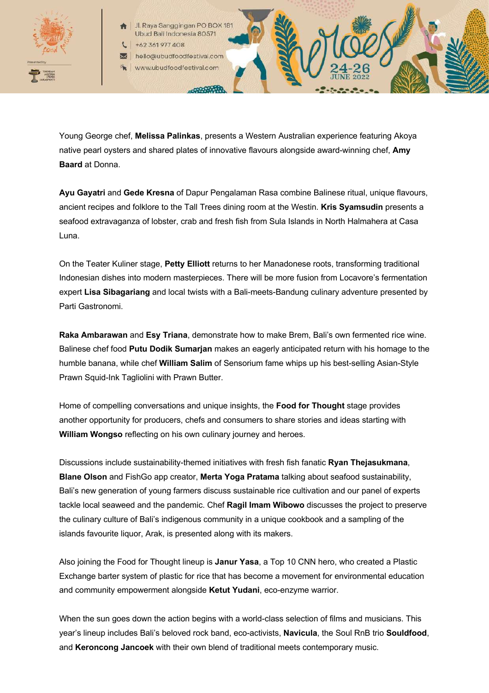

Jl. Raya Sanggingan PO BOX 187 Ubud Bali Indonesia 80571 +62 361 977 408

hello@ubudfoodfestival.com

www.ubudfoodfestival.com

 $-0000000$ 

Young George chef, **Melissa Palinkas**, presents a Western Australian experience featuring Akoya native pearl oysters and shared plates of innovative flavours alongside award-winning chef, **Amy Baard** at Donna.

**Ayu Gayatri** and **Gede Kresna** of Dapur Pengalaman Rasa combine Balinese ritual, unique flavours, ancient recipes and folklore to the Tall Trees dining room at the Westin. **Kris Syamsudin** presents a seafood extravaganza of lobster, crab and fresh fish from Sula Islands in North Halmahera at Casa Luna.

On the Teater Kuliner stage, **Petty Elliott** returns to her Manadonese roots, transforming traditional Indonesian dishes into modern masterpieces. There will be more fusion from Locavore's fermentation expert **Lisa Sibagariang** and local twists with a Bali-meets-Bandung culinary adventure presented by Parti Gastronomi.

**Raka Ambarawan** and **Esy Triana**, demonstrate how to make Brem, Bali's own fermented rice wine. Balinese chef food **Putu Dodik Sumarjan** makes an eagerly anticipated return with his homage to the humble banana, while chef **William Salim** of Sensorium fame whips up his best-selling Asian-Style Prawn Squid-Ink Tagliolini with Prawn Butter.

Home of compelling conversations and unique insights, the **Food for Thought** stage provides another opportunity for producers, chefs and consumers to share stories and ideas starting with **William Wongso** reflecting on his own culinary journey and heroes.

Discussions include sustainability-themed initiatives with fresh fish fanatic **Ryan Thejasukmana**, **Blane Olson** and FishGo app creator, **Merta Yoga Pratama** talking about seafood sustainability, Bali's new generation of young farmers discuss sustainable rice cultivation and our panel of experts tackle local seaweed and the pandemic. Chef **Ragil Imam Wibowo** discusses the project to preserve the culinary culture of Bali's indigenous community in a unique cookbook and a sampling of the islands favourite liquor, Arak, is presented along with its makers.

Also joining the Food for Thought lineup is **Janur Yasa**, a Top 10 CNN hero, who created a Plastic Exchange barter system of plastic for rice that has become a movement for environmental education and community empowerment alongside **Ketut Yudani**, eco-enzyme warrior.

When the sun goes down the action begins with a world-class selection of films and musicians. This year's lineup includes Bali's beloved rock band, eco-activists, **Navicula**, the Soul RnB trio **Souldfood**, and **Keroncong Jancoek** with their own blend of traditional meets contemporary music.